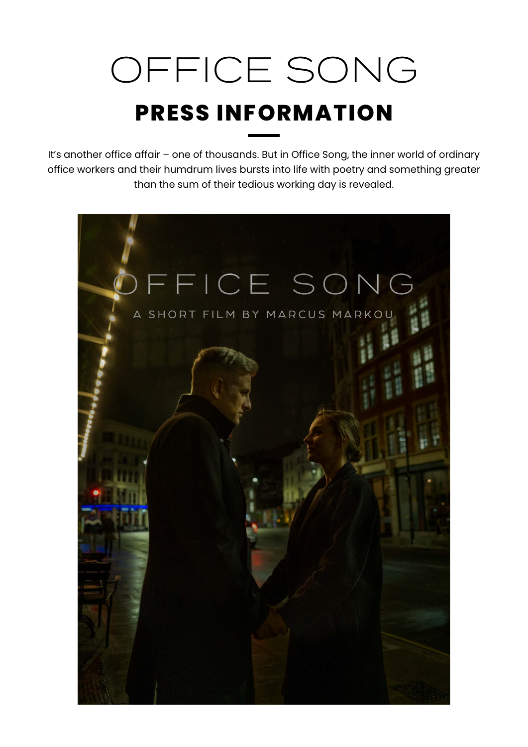# OFFICE SONG **PRESS INFORMATION**

It's another office affair – one of thousands. But in Office Song, the inner world of ordinary office workers and their humdrum lives bursts into life with poetry and something greater than the sum of their tedious working day is revealed.

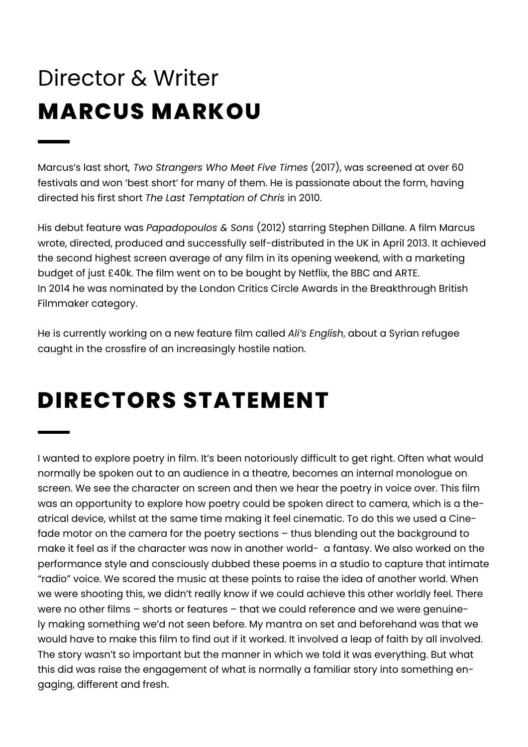# **MARCUS MARKOU** Director & Writer

Marcus's last short*, Two Strangers Who Meet Five Times* (2017), was screened at over 60 festivals and won 'best short' for many of them. He is passionate about the form, having directed his first short *The Last Temptation of Chris* in 2010.

His debut feature was *Papadopoulos & Sons* (2012) starring Stephen Dillane. A film Marcus wrote, directed, produced and successfully self-distributed in the UK in April 2013. It achieved the second highest screen average of any film in its opening weekend, with a marketing budget of just £40k. The film went on to be bought by Netflix, the BBC and ARTE. In 2014 he was nominated by the London Critics Circle Awards in the Breakthrough British Filmmaker category.

He is currently working on a new feature film called *Ali's English*, about a Syrian refugee caught in the crossfire of an increasingly hostile nation.

### **DIRECTORS STATEMENT**

I wanted to explore poetry in film. It's been notoriously difficult to get right. Often what would normally be spoken out to an audience in a theatre, becomes an internal monologue on screen. We see the character on screen and then we hear the poetry in voice over. This film was an opportunity to explore how poetry could be spoken direct to camera, which is a theatrical device, whilst at the same time making it feel cinematic. To do this we used a Cinefade motor on the camera for the poetry sections – thus blending out the background to make it feel as if the character was now in another world- a fantasy. We also worked on the performance style and consciously dubbed these poems in a studio to capture that intimate "radio" voice. We scored the music at these points to raise the idea of another world. When we were shooting this, we didn't really know if we could achieve this other worldly feel. There were no other films – shorts or features – that we could reference and we were genuinely making something we'd not seen before. My mantra on set and beforehand was that we would have to make this film to find out if it worked. It involved a leap of faith by all involved. The story wasn't so important but the manner in which we told it was everything. But what this did was raise the engagement of what is normally a familiar story into something engaging, different and fresh.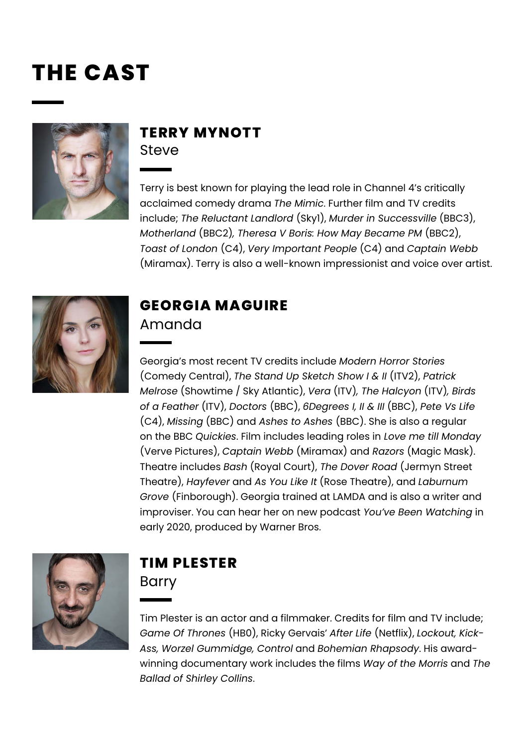### **THE CAST**



#### **TERRY MYNOTT Steve**

Terry is best known for playing the lead role in Channel 4's critically acclaimed comedy drama *The Mimic*. Further film and TV credits include; *The Reluctant Landlord* (Sky1), *Murder in Successville* (BBC3), *Motherland* (BBC2)*, Theresa V Boris: How May Became PM* (BBC2), *Toast of London* (C4), *Very Important People* (C4) and *Captain Webb*  (Miramax). Terry is also a well-known impressionist and voice over artist.



#### **GEORGIA MAGUIRE** Amanda

Georgia's most recent TV credits include *Modern Horror Stories* (Comedy Central), *The Stand Up Sketch Show I & II* (ITV2), *Patrick Melrose* (Showtime / Sky Atlantic), *Vera* (ITV)*, The Halcyon* (ITV)*, Birds of a Feather* (ITV), *Doctors* (BBC), *6Degrees I, II & III* (BBC), *Pete Vs Life*  (C4), *Missing* (BBC) and *Ashes to Ashes* (BBC). She is also a regular on the BBC *Quickies*. Film includes leading roles in *Love me till Monday* (Verve Pictures), *Captain Webb* (Miramax) and *Razors* (Magic Mask). Theatre includes *Bash* (Royal Court), *The Dover Road* (Jermyn Street Theatre), *Hayfever* and *As You Like It* (Rose Theatre), and *Laburnum Grove* (Finborough). Georgia trained at LAMDA and is also a writer and improviser. You can hear her on new podcast *You've Been Watching* in early 2020, produced by Warner Bros.



#### **TIM PLESTER**  Barry

Tim Plester is an actor and a filmmaker. Credits for film and TV include; *Game Of Thrones* (HB0), Ricky Gervais' *After Life* (Netflix), *Lockout, Kick-Ass, Worzel Gummidge, Control* and *Bohemian Rhapsody*. His awardwinning documentary work includes the films *Way of the Morris* and *The Ballad of Shirley Collins*.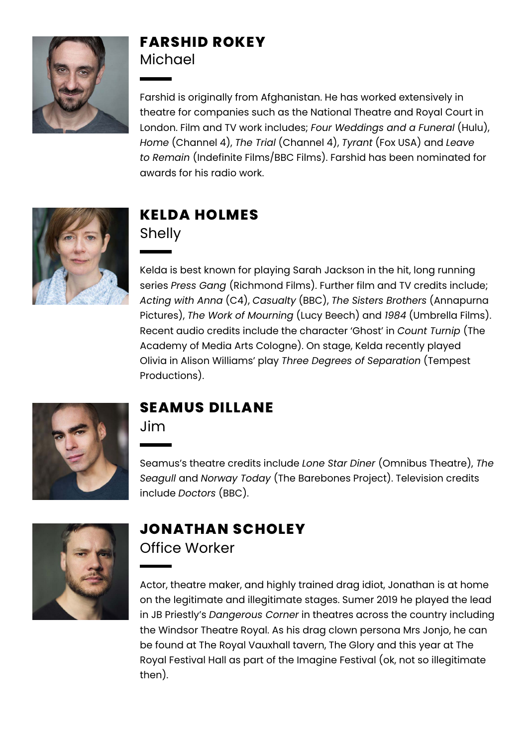

#### **FARSHID ROKEY Michael**

Farshid is originally from Afghanistan. He has worked extensively in theatre for companies such as the National Theatre and Royal Court in London. Film and TV work includes; *Four Weddings and a Funeral* (Hulu), *Home* (Channel 4), *The Trial* (Channel 4), *Tyrant* (Fox USA) and *Leave to Remain* (Indefinite Films/BBC Films). Farshid has been nominated for awards for his radio work.



#### **KELDA HOLMES**  Shelly

Kelda is best known for playing Sarah Jackson in the hit, long running series *Press Gang* (Richmond Films). Further film and TV credits include; *Acting with Anna* (C4), *Casualty* (BBC), *The Sisters Brothers* (Annapurna Pictures), *The Work of Mourning* (Lucy Beech) and *1984* (Umbrella Films). Recent audio credits include the character 'Ghost' in *Count Turnip* (The Academy of Media Arts Cologne). On stage, Kelda recently played Olivia in Alison Williams' play *Three Degrees of Separation* (Tempest Productions).



#### **SEAMUS DILLANE**

Jim

Seamus's theatre credits include *Lone Star Diner* (Omnibus Theatre), *The Seagull* and *Norway Today* (The Barebones Project). Television credits include *Doctors* (BBC).



### **JONATHAN SCHOLEY**

Office Worker

Actor, theatre maker, and highly trained drag idiot, Jonathan is at home on the legitimate and illegitimate stages. Sumer 2019 he played the lead in JB Priestly's *Dangerous Corner* in theatres across the country including the Windsor Theatre Royal. As his drag clown persona Mrs Jonjo, he can be found at The Royal Vauxhall tavern, The Glory and this year at The Royal Festival Hall as part of the Imagine Festival (ok, not so illegitimate then).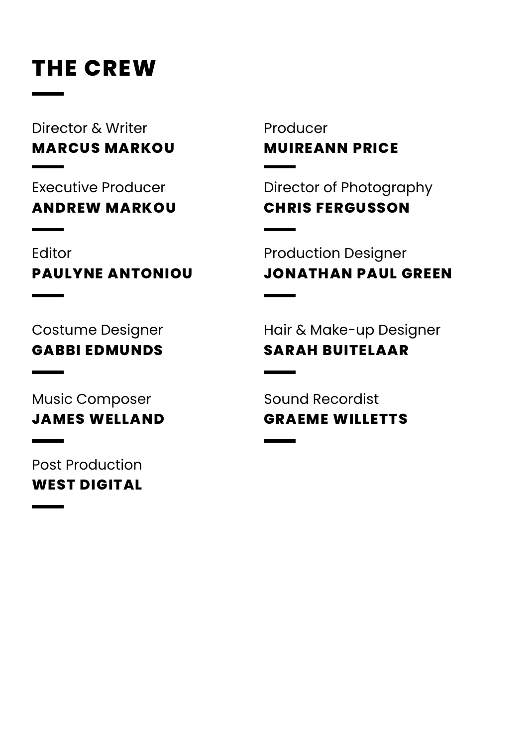### **THE CREW**

**MARCUS MARKOU** Director & Writer

**ANDREW MARKOU** Executive Producer

**PAULYNE ANTONIOU** Editor

**MUIREANN PRICE** Producer

**CHRIS FERGUSSON**  Director of Photography

**JONATHAN PAUL GREEN** Production Designer

**GABBI EDMUNDS** Costume Designer

**JAMES WELLAND** Music Composer

**WEST DIGITAL** Post Production

**SARAH BUITELAAR**  Hair & Make-up Designer

**GRAEME WILLETTS** Sound Recordist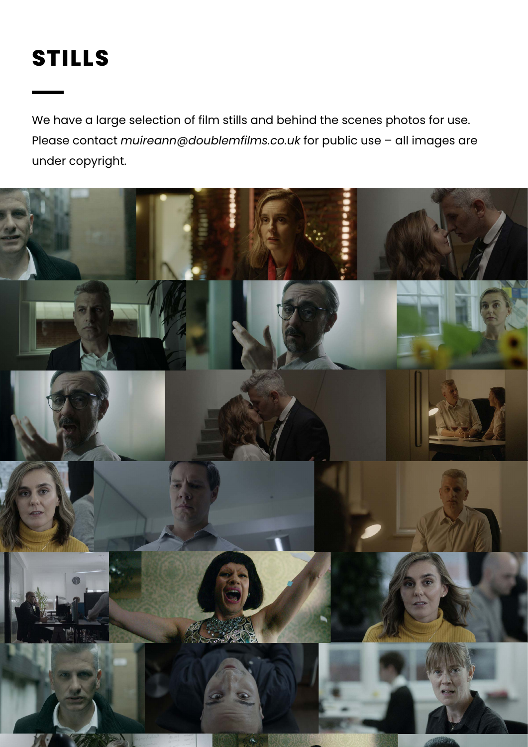## **STILLS**

We have a large selection of film stills and behind the scenes photos for use. Please contact *muireann@doublemfilms.co.uk* for public use – all images are under copyright.